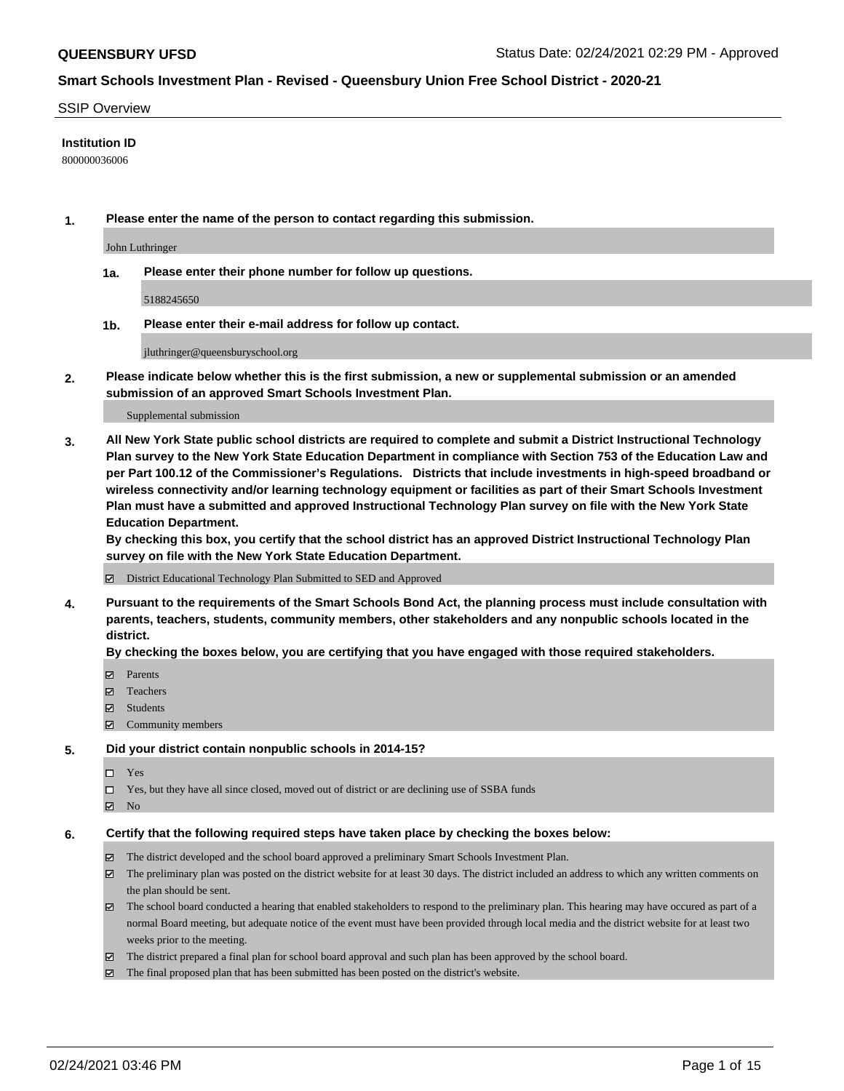#### SSIP Overview

### **Institution ID**

800000036006

**1. Please enter the name of the person to contact regarding this submission.**

John Luthringer

**1a. Please enter their phone number for follow up questions.**

5188245650

**1b. Please enter their e-mail address for follow up contact.**

jluthringer@queensburyschool.org

**2. Please indicate below whether this is the first submission, a new or supplemental submission or an amended submission of an approved Smart Schools Investment Plan.**

#### Supplemental submission

**3. All New York State public school districts are required to complete and submit a District Instructional Technology Plan survey to the New York State Education Department in compliance with Section 753 of the Education Law and per Part 100.12 of the Commissioner's Regulations. Districts that include investments in high-speed broadband or wireless connectivity and/or learning technology equipment or facilities as part of their Smart Schools Investment Plan must have a submitted and approved Instructional Technology Plan survey on file with the New York State Education Department.** 

**By checking this box, you certify that the school district has an approved District Instructional Technology Plan survey on file with the New York State Education Department.**

District Educational Technology Plan Submitted to SED and Approved

**4. Pursuant to the requirements of the Smart Schools Bond Act, the planning process must include consultation with parents, teachers, students, community members, other stakeholders and any nonpublic schools located in the district.** 

### **By checking the boxes below, you are certifying that you have engaged with those required stakeholders.**

- **Ø** Parents
- Teachers
- Students
- $\Xi$  Community members

### **5. Did your district contain nonpublic schools in 2014-15?**

- □ Yes
- □ Yes, but they have all since closed, moved out of district or are declining use of SSBA funds
- **Ø** No

## **6. Certify that the following required steps have taken place by checking the boxes below:**

- The district developed and the school board approved a preliminary Smart Schools Investment Plan.
- The preliminary plan was posted on the district website for at least 30 days. The district included an address to which any written comments on the plan should be sent.
- The school board conducted a hearing that enabled stakeholders to respond to the preliminary plan. This hearing may have occured as part of a normal Board meeting, but adequate notice of the event must have been provided through local media and the district website for at least two weeks prior to the meeting.
- The district prepared a final plan for school board approval and such plan has been approved by the school board.
- $\boxtimes$  The final proposed plan that has been submitted has been posted on the district's website.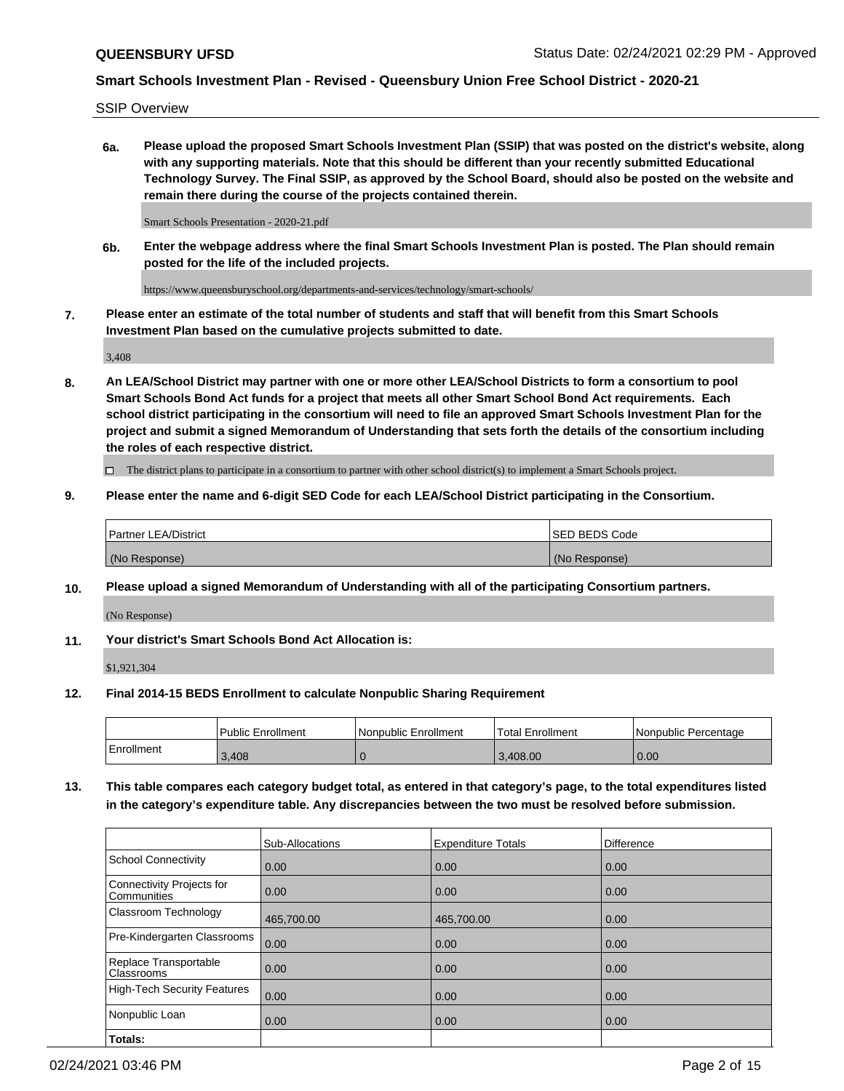SSIP Overview

**6a. Please upload the proposed Smart Schools Investment Plan (SSIP) that was posted on the district's website, along with any supporting materials. Note that this should be different than your recently submitted Educational Technology Survey. The Final SSIP, as approved by the School Board, should also be posted on the website and remain there during the course of the projects contained therein.**

Smart Schools Presentation - 2020-21.pdf

**6b. Enter the webpage address where the final Smart Schools Investment Plan is posted. The Plan should remain posted for the life of the included projects.**

https://www.queensburyschool.org/departments-and-services/technology/smart-schools/

**7. Please enter an estimate of the total number of students and staff that will benefit from this Smart Schools Investment Plan based on the cumulative projects submitted to date.**

3,408

**8. An LEA/School District may partner with one or more other LEA/School Districts to form a consortium to pool Smart Schools Bond Act funds for a project that meets all other Smart School Bond Act requirements. Each school district participating in the consortium will need to file an approved Smart Schools Investment Plan for the project and submit a signed Memorandum of Understanding that sets forth the details of the consortium including the roles of each respective district.**

 $\Box$  The district plans to participate in a consortium to partner with other school district(s) to implement a Smart Schools project.

## **9. Please enter the name and 6-digit SED Code for each LEA/School District participating in the Consortium.**

| Partner LEA/District | <b>ISED BEDS Code</b> |
|----------------------|-----------------------|
| (No Response)        | (No Response)         |

## **10. Please upload a signed Memorandum of Understanding with all of the participating Consortium partners.**

(No Response)

## **11. Your district's Smart Schools Bond Act Allocation is:**

\$1,921,304

## **12. Final 2014-15 BEDS Enrollment to calculate Nonpublic Sharing Requirement**

|            | Public Enrollment | Nonpublic Enrollment | Total Enrollment | Nonpublic Percentage |
|------------|-------------------|----------------------|------------------|----------------------|
| Enrollment | 3,408             |                      | 3.408.00         | 0.00                 |

**13. This table compares each category budget total, as entered in that category's page, to the total expenditures listed in the category's expenditure table. Any discrepancies between the two must be resolved before submission.**

|                                          | Sub-Allocations | <b>Expenditure Totals</b> | <b>Difference</b> |
|------------------------------------------|-----------------|---------------------------|-------------------|
| <b>School Connectivity</b>               | 0.00            | 0.00                      | 0.00              |
| Connectivity Projects for<br>Communities | 0.00            | 0.00                      | 0.00              |
| Classroom Technology                     | 465,700.00      | 465,700.00                | 0.00              |
| Pre-Kindergarten Classrooms              | 0.00            | 0.00                      | 0.00              |
| Replace Transportable<br>Classrooms      | 0.00            | 0.00                      | 0.00              |
| High-Tech Security Features              | 0.00            | 0.00                      | 0.00              |
| Nonpublic Loan                           | 0.00            | 0.00                      | 0.00              |
| Totals:                                  |                 |                           |                   |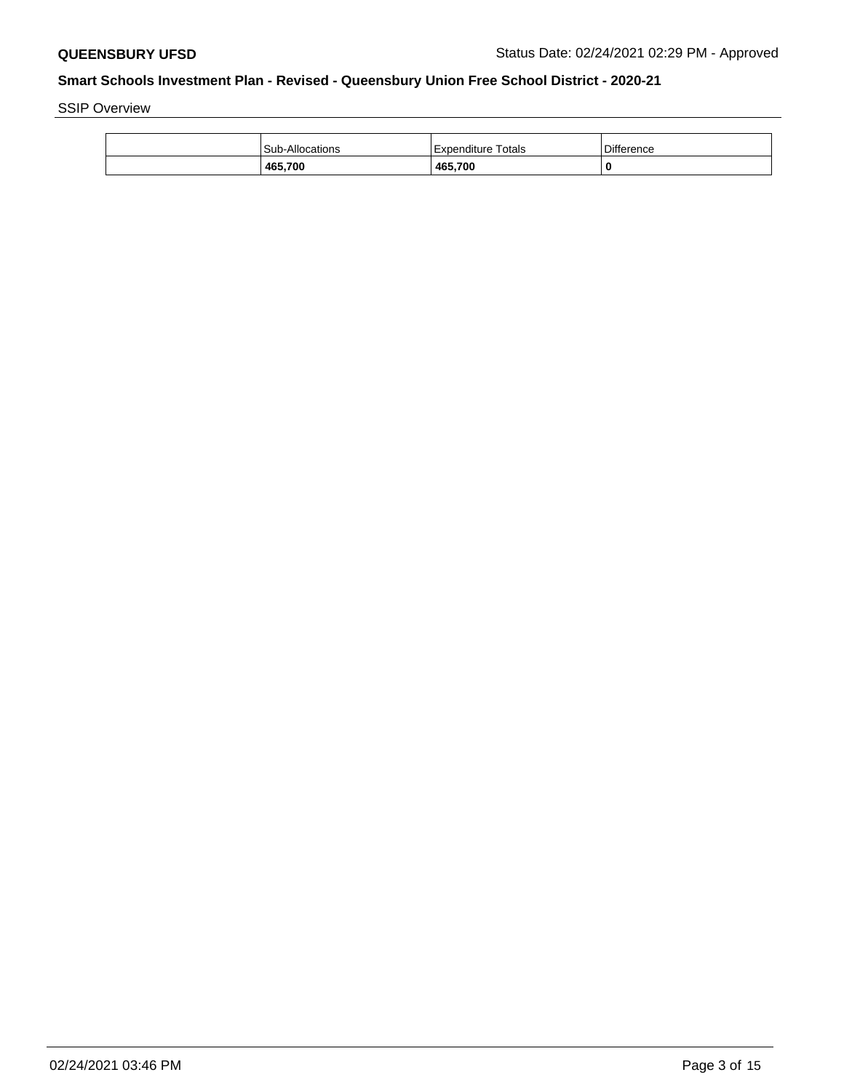SSIP Overview

| <b>Sub-Allocations</b> | Expenditure Totals | <b>Difference</b> |
|------------------------|--------------------|-------------------|
| 465,700                | 465,700            | C                 |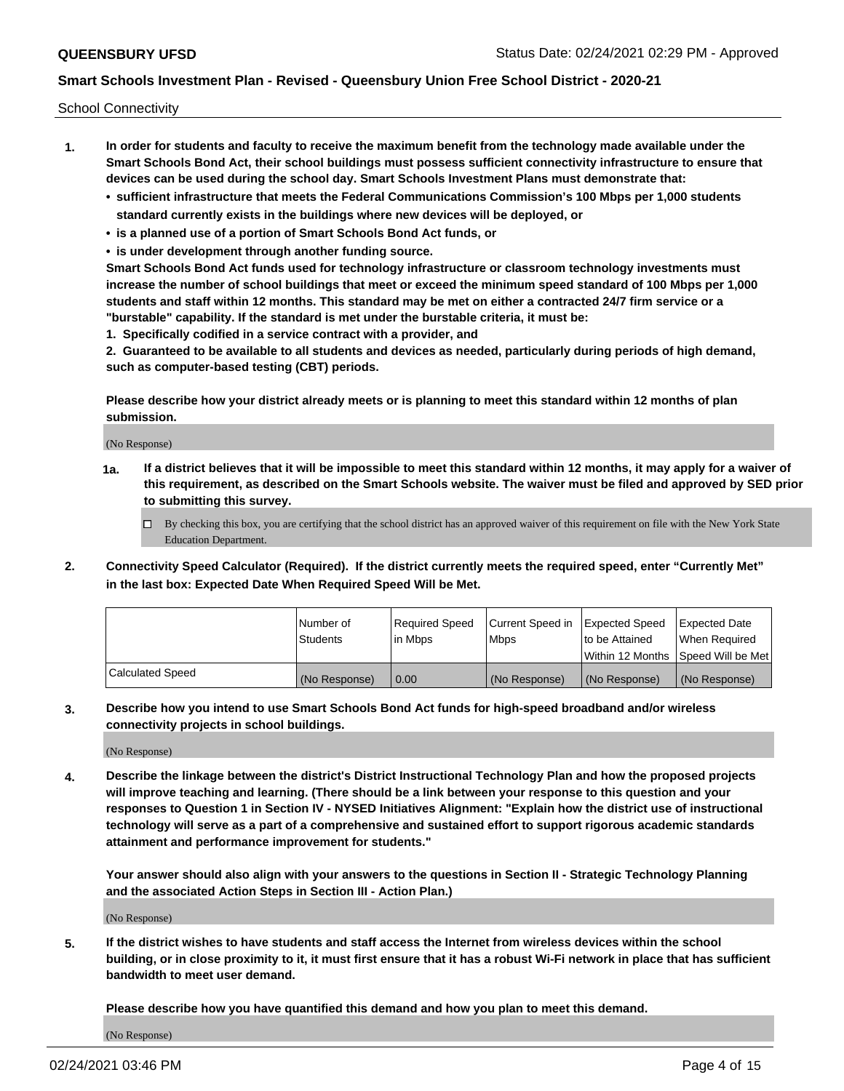School Connectivity

- **1. In order for students and faculty to receive the maximum benefit from the technology made available under the Smart Schools Bond Act, their school buildings must possess sufficient connectivity infrastructure to ensure that devices can be used during the school day. Smart Schools Investment Plans must demonstrate that:**
	- **• sufficient infrastructure that meets the Federal Communications Commission's 100 Mbps per 1,000 students standard currently exists in the buildings where new devices will be deployed, or**
	- **• is a planned use of a portion of Smart Schools Bond Act funds, or**
	- **• is under development through another funding source.**

**Smart Schools Bond Act funds used for technology infrastructure or classroom technology investments must increase the number of school buildings that meet or exceed the minimum speed standard of 100 Mbps per 1,000 students and staff within 12 months. This standard may be met on either a contracted 24/7 firm service or a "burstable" capability. If the standard is met under the burstable criteria, it must be:**

**1. Specifically codified in a service contract with a provider, and**

**2. Guaranteed to be available to all students and devices as needed, particularly during periods of high demand, such as computer-based testing (CBT) periods.**

**Please describe how your district already meets or is planning to meet this standard within 12 months of plan submission.**

(No Response)

**1a. If a district believes that it will be impossible to meet this standard within 12 months, it may apply for a waiver of this requirement, as described on the Smart Schools website. The waiver must be filed and approved by SED prior to submitting this survey.**

 $\Box$  By checking this box, you are certifying that the school district has an approved waiver of this requirement on file with the New York State Education Department.

**2. Connectivity Speed Calculator (Required). If the district currently meets the required speed, enter "Currently Met" in the last box: Expected Date When Required Speed Will be Met.**

|                  | l Number of     | Required Speed | Current Speed in | Expected Speed | Expected Date                        |
|------------------|-----------------|----------------|------------------|----------------|--------------------------------------|
|                  | <b>Students</b> | In Mbps        | <b>Mbps</b>      | to be Attained | When Required                        |
|                  |                 |                |                  |                | Within 12 Months 1Speed Will be Met1 |
| Calculated Speed | (No Response)   | 0.00           | (No Response)    | (No Response)  | l (No Response)                      |

**3. Describe how you intend to use Smart Schools Bond Act funds for high-speed broadband and/or wireless connectivity projects in school buildings.**

(No Response)

**4. Describe the linkage between the district's District Instructional Technology Plan and how the proposed projects will improve teaching and learning. (There should be a link between your response to this question and your responses to Question 1 in Section IV - NYSED Initiatives Alignment: "Explain how the district use of instructional technology will serve as a part of a comprehensive and sustained effort to support rigorous academic standards attainment and performance improvement for students."** 

**Your answer should also align with your answers to the questions in Section II - Strategic Technology Planning and the associated Action Steps in Section III - Action Plan.)**

(No Response)

**5. If the district wishes to have students and staff access the Internet from wireless devices within the school building, or in close proximity to it, it must first ensure that it has a robust Wi-Fi network in place that has sufficient bandwidth to meet user demand.**

**Please describe how you have quantified this demand and how you plan to meet this demand.**

(No Response)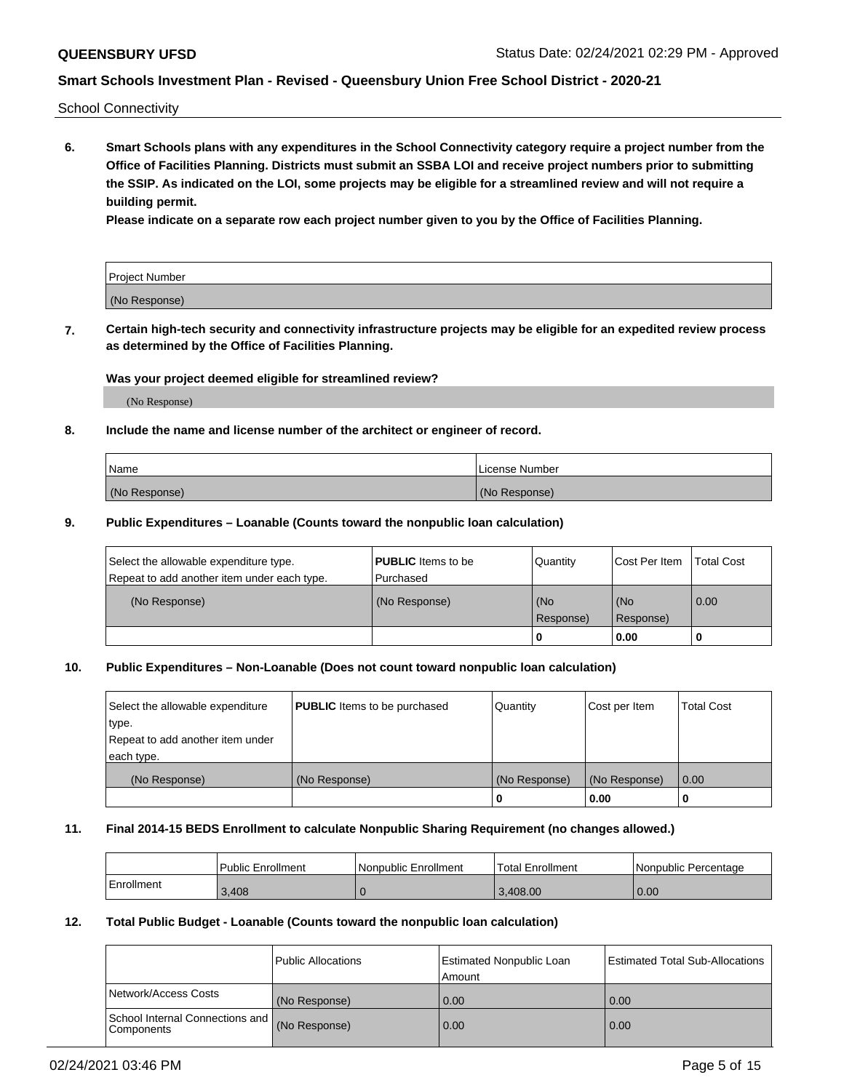School Connectivity

**6. Smart Schools plans with any expenditures in the School Connectivity category require a project number from the Office of Facilities Planning. Districts must submit an SSBA LOI and receive project numbers prior to submitting the SSIP. As indicated on the LOI, some projects may be eligible for a streamlined review and will not require a building permit.**

**Please indicate on a separate row each project number given to you by the Office of Facilities Planning.**

| Project Number |  |
|----------------|--|
| (No Response)  |  |

**7. Certain high-tech security and connectivity infrastructure projects may be eligible for an expedited review process as determined by the Office of Facilities Planning.**

### **Was your project deemed eligible for streamlined review?**

(No Response)

## **8. Include the name and license number of the architect or engineer of record.**

| Name          | License Number |
|---------------|----------------|
| (No Response) | (No Response)  |

### **9. Public Expenditures – Loanable (Counts toward the nonpublic loan calculation)**

| Select the allowable expenditure type.<br>Repeat to add another item under each type. | <b>PUBLIC</b> Items to be<br>l Purchased | Quantity           | Cost Per Item    | <b>Total Cost</b> |
|---------------------------------------------------------------------------------------|------------------------------------------|--------------------|------------------|-------------------|
| (No Response)                                                                         | (No Response)                            | l (No<br>Response) | (No<br>Response) | $\overline{0.00}$ |
|                                                                                       |                                          | 0                  | 0.00             |                   |

## **10. Public Expenditures – Non-Loanable (Does not count toward nonpublic loan calculation)**

| Select the allowable expenditure<br>type.<br>Repeat to add another item under<br>each type. | <b>PUBLIC</b> Items to be purchased | Quantity      | Cost per Item | <b>Total Cost</b> |
|---------------------------------------------------------------------------------------------|-------------------------------------|---------------|---------------|-------------------|
| (No Response)                                                                               | (No Response)                       | (No Response) | (No Response) | 0.00              |
|                                                                                             |                                     |               | 0.00          |                   |

#### **11. Final 2014-15 BEDS Enrollment to calculate Nonpublic Sharing Requirement (no changes allowed.)**

|            | Public Enrollment | l Nonpublic Enrollment | <b>Total Enrollment</b> | Nonpublic Percentage |
|------------|-------------------|------------------------|-------------------------|----------------------|
| Enrollment | 3.408             |                        | 3.408.00                | 0.00                 |

### **12. Total Public Budget - Loanable (Counts toward the nonpublic loan calculation)**

|                                                      | Public Allocations | <b>Estimated Nonpublic Loan</b><br>Amount | Estimated Total Sub-Allocations |
|------------------------------------------------------|--------------------|-------------------------------------------|---------------------------------|
| Network/Access Costs                                 | (No Response)      | 0.00                                      | 0.00                            |
| School Internal Connections and<br><b>Components</b> | (No Response)      | 0.00                                      | 0.00                            |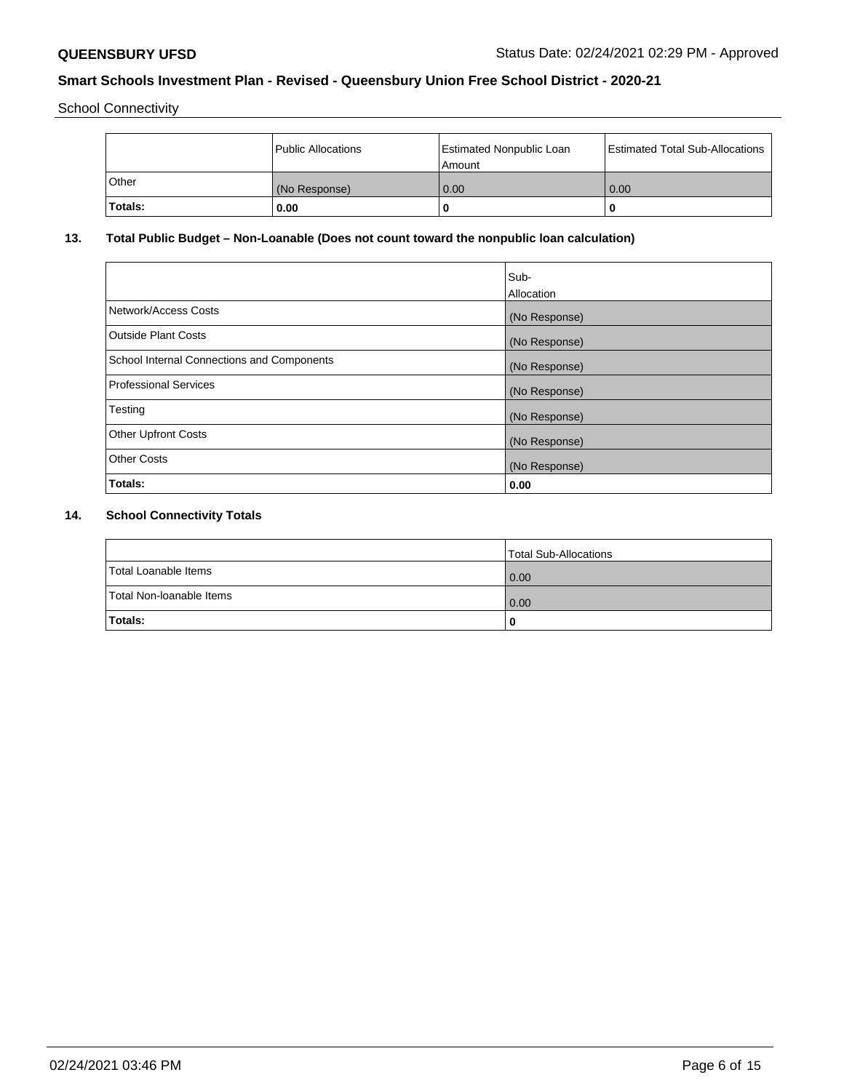School Connectivity

|         | <b>Public Allocations</b> | <b>Estimated Nonpublic Loan</b><br>Amount | <b>Estimated Total Sub-Allocations</b> |
|---------|---------------------------|-------------------------------------------|----------------------------------------|
| Other   | (No Response)             | 0.00                                      | 0.00                                   |
| Totals: | 0.00                      |                                           | 0                                      |

# **13. Total Public Budget – Non-Loanable (Does not count toward the nonpublic loan calculation)**

| Sub-<br>Allocation |
|--------------------|
| (No Response)      |
| (No Response)      |
| (No Response)      |
| (No Response)      |
| (No Response)      |
| (No Response)      |
| (No Response)      |
| 0.00               |
|                    |

# **14. School Connectivity Totals**

|                          | Total Sub-Allocations |
|--------------------------|-----------------------|
| Total Loanable Items     | 0.00                  |
| Total Non-Ioanable Items | 0.00                  |
| Totals:                  | 0                     |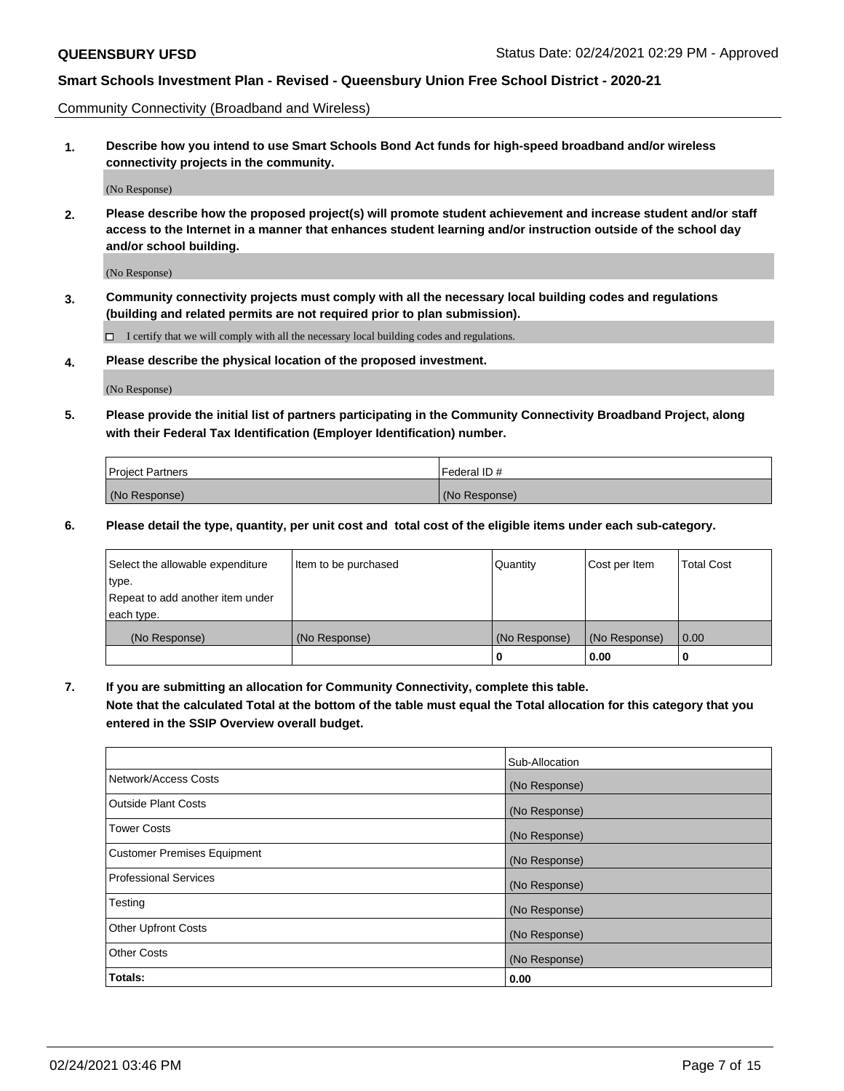Community Connectivity (Broadband and Wireless)

**1. Describe how you intend to use Smart Schools Bond Act funds for high-speed broadband and/or wireless connectivity projects in the community.**

(No Response)

**2. Please describe how the proposed project(s) will promote student achievement and increase student and/or staff access to the Internet in a manner that enhances student learning and/or instruction outside of the school day and/or school building.**

(No Response)

**3. Community connectivity projects must comply with all the necessary local building codes and regulations (building and related permits are not required prior to plan submission).**

 $\Box$  I certify that we will comply with all the necessary local building codes and regulations.

**4. Please describe the physical location of the proposed investment.**

(No Response)

**5. Please provide the initial list of partners participating in the Community Connectivity Broadband Project, along with their Federal Tax Identification (Employer Identification) number.**

| <b>Project Partners</b> | l Federal ID # |
|-------------------------|----------------|
| (No Response)           | (No Response)  |

**6. Please detail the type, quantity, per unit cost and total cost of the eligible items under each sub-category.**

| Select the allowable expenditure | Item to be purchased | Quantity      | Cost per Item | <b>Total Cost</b> |
|----------------------------------|----------------------|---------------|---------------|-------------------|
| type.                            |                      |               |               |                   |
| Repeat to add another item under |                      |               |               |                   |
| each type.                       |                      |               |               |                   |
| (No Response)                    | (No Response)        | (No Response) | (No Response) | 0.00              |
|                                  |                      | o             | 0.00          |                   |

**7. If you are submitting an allocation for Community Connectivity, complete this table.**

**Note that the calculated Total at the bottom of the table must equal the Total allocation for this category that you entered in the SSIP Overview overall budget.**

|                                    | Sub-Allocation |
|------------------------------------|----------------|
| Network/Access Costs               | (No Response)  |
| Outside Plant Costs                | (No Response)  |
| <b>Tower Costs</b>                 | (No Response)  |
| <b>Customer Premises Equipment</b> | (No Response)  |
| <b>Professional Services</b>       | (No Response)  |
| Testing                            | (No Response)  |
| <b>Other Upfront Costs</b>         | (No Response)  |
| <b>Other Costs</b>                 | (No Response)  |
| Totals:                            | 0.00           |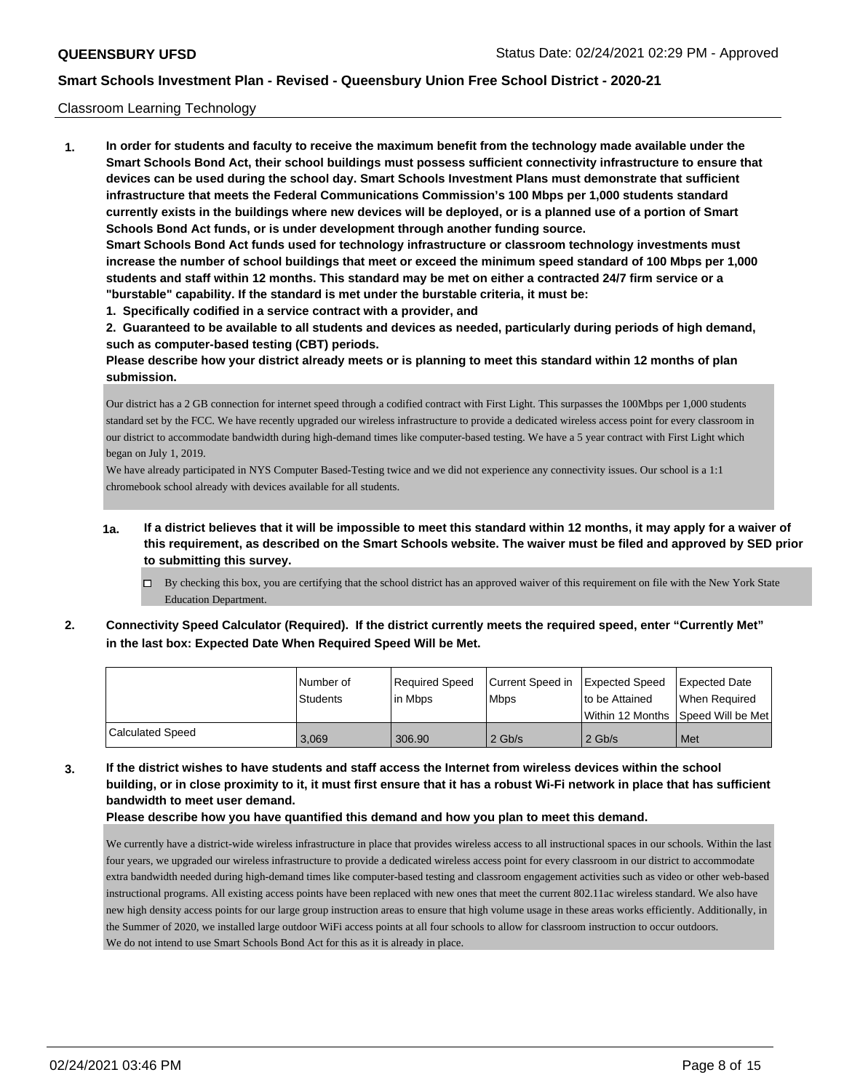### Classroom Learning Technology

**1. In order for students and faculty to receive the maximum benefit from the technology made available under the Smart Schools Bond Act, their school buildings must possess sufficient connectivity infrastructure to ensure that devices can be used during the school day. Smart Schools Investment Plans must demonstrate that sufficient infrastructure that meets the Federal Communications Commission's 100 Mbps per 1,000 students standard currently exists in the buildings where new devices will be deployed, or is a planned use of a portion of Smart Schools Bond Act funds, or is under development through another funding source. Smart Schools Bond Act funds used for technology infrastructure or classroom technology investments must increase the number of school buildings that meet or exceed the minimum speed standard of 100 Mbps per 1,000 students and staff within 12 months. This standard may be met on either a contracted 24/7 firm service or a**

- **"burstable" capability. If the standard is met under the burstable criteria, it must be:**
- **1. Specifically codified in a service contract with a provider, and**

**2. Guaranteed to be available to all students and devices as needed, particularly during periods of high demand, such as computer-based testing (CBT) periods.**

**Please describe how your district already meets or is planning to meet this standard within 12 months of plan submission.**

Our district has a 2 GB connection for internet speed through a codified contract with First Light. This surpasses the 100Mbps per 1,000 students standard set by the FCC. We have recently upgraded our wireless infrastructure to provide a dedicated wireless access point for every classroom in our district to accommodate bandwidth during high-demand times like computer-based testing. We have a 5 year contract with First Light which began on July 1, 2019.

We have already participated in NYS Computer Based-Testing twice and we did not experience any connectivity issues. Our school is a 1:1 chromebook school already with devices available for all students.

- **1a. If a district believes that it will be impossible to meet this standard within 12 months, it may apply for a waiver of this requirement, as described on the Smart Schools website. The waiver must be filed and approved by SED prior to submitting this survey.**
	- By checking this box, you are certifying that the school district has an approved waiver of this requirement on file with the New York State Education Department.
- **2. Connectivity Speed Calculator (Required). If the district currently meets the required speed, enter "Currently Met" in the last box: Expected Date When Required Speed Will be Met.**

|                  | l Number of<br><b>Students</b> | Required Speed<br>l in Mbps | Current Speed in   Expected Speed<br><b>Mbps</b> | to be Attained | Expected Date<br>When Required     |
|------------------|--------------------------------|-----------------------------|--------------------------------------------------|----------------|------------------------------------|
|                  |                                |                             |                                                  |                | Within 12 Months Speed Will be Met |
| Calculated Speed | 3.069                          | 306.90                      | $2$ Gb/s                                         | $2$ Gb/s       | Met                                |

**3. If the district wishes to have students and staff access the Internet from wireless devices within the school building, or in close proximity to it, it must first ensure that it has a robust Wi-Fi network in place that has sufficient bandwidth to meet user demand.**

**Please describe how you have quantified this demand and how you plan to meet this demand.**

We currently have a district-wide wireless infrastructure in place that provides wireless access to all instructional spaces in our schools. Within the last four years, we upgraded our wireless infrastructure to provide a dedicated wireless access point for every classroom in our district to accommodate extra bandwidth needed during high-demand times like computer-based testing and classroom engagement activities such as video or other web-based instructional programs. All existing access points have been replaced with new ones that meet the current 802.11ac wireless standard. We also have new high density access points for our large group instruction areas to ensure that high volume usage in these areas works efficiently. Additionally, in the Summer of 2020, we installed large outdoor WiFi access points at all four schools to allow for classroom instruction to occur outdoors. We do not intend to use Smart Schools Bond Act for this as it is already in place.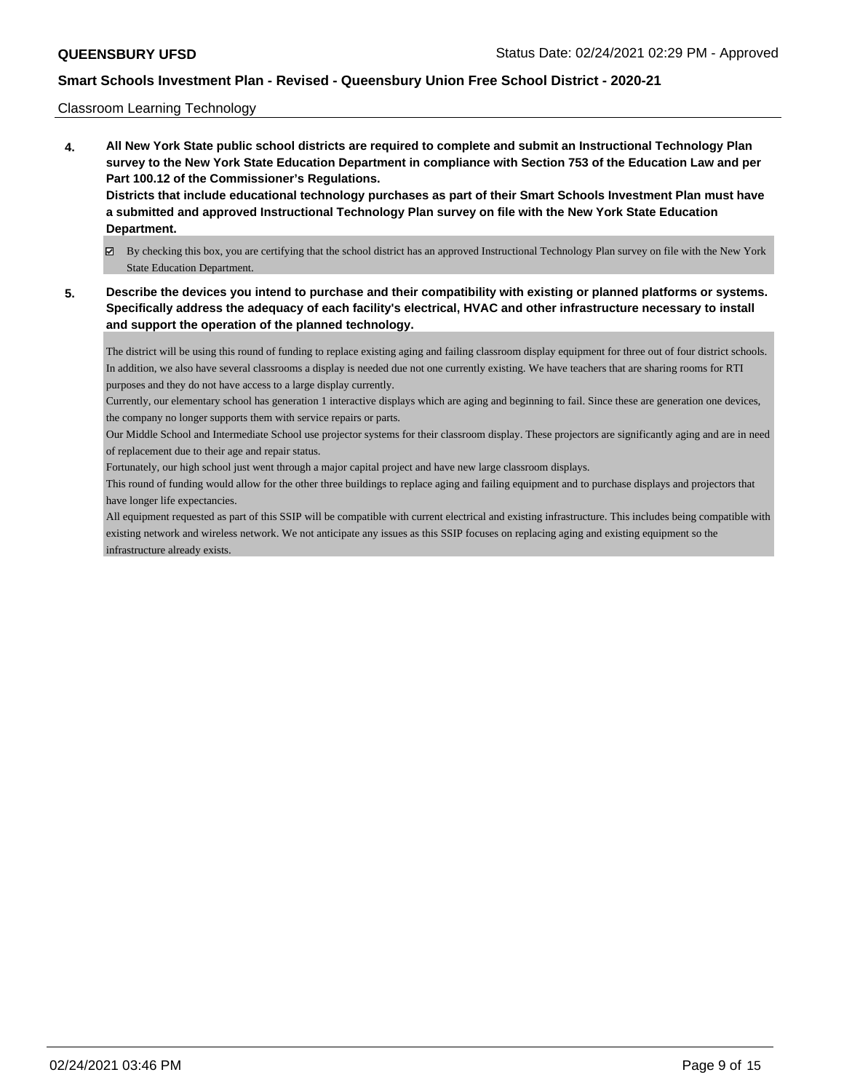### Classroom Learning Technology

- **4. All New York State public school districts are required to complete and submit an Instructional Technology Plan survey to the New York State Education Department in compliance with Section 753 of the Education Law and per Part 100.12 of the Commissioner's Regulations. Districts that include educational technology purchases as part of their Smart Schools Investment Plan must have a submitted and approved Instructional Technology Plan survey on file with the New York State Education Department.**
	- By checking this box, you are certifying that the school district has an approved Instructional Technology Plan survey on file with the New York State Education Department.
- **5. Describe the devices you intend to purchase and their compatibility with existing or planned platforms or systems. Specifically address the adequacy of each facility's electrical, HVAC and other infrastructure necessary to install and support the operation of the planned technology.**

The district will be using this round of funding to replace existing aging and failing classroom display equipment for three out of four district schools. In addition, we also have several classrooms a display is needed due not one currently existing. We have teachers that are sharing rooms for RTI purposes and they do not have access to a large display currently.

Currently, our elementary school has generation 1 interactive displays which are aging and beginning to fail. Since these are generation one devices, the company no longer supports them with service repairs or parts.

Our Middle School and Intermediate School use projector systems for their classroom display. These projectors are significantly aging and are in need of replacement due to their age and repair status.

Fortunately, our high school just went through a major capital project and have new large classroom displays.

This round of funding would allow for the other three buildings to replace aging and failing equipment and to purchase displays and projectors that have longer life expectancies.

All equipment requested as part of this SSIP will be compatible with current electrical and existing infrastructure. This includes being compatible with existing network and wireless network. We not anticipate any issues as this SSIP focuses on replacing aging and existing equipment so the infrastructure already exists.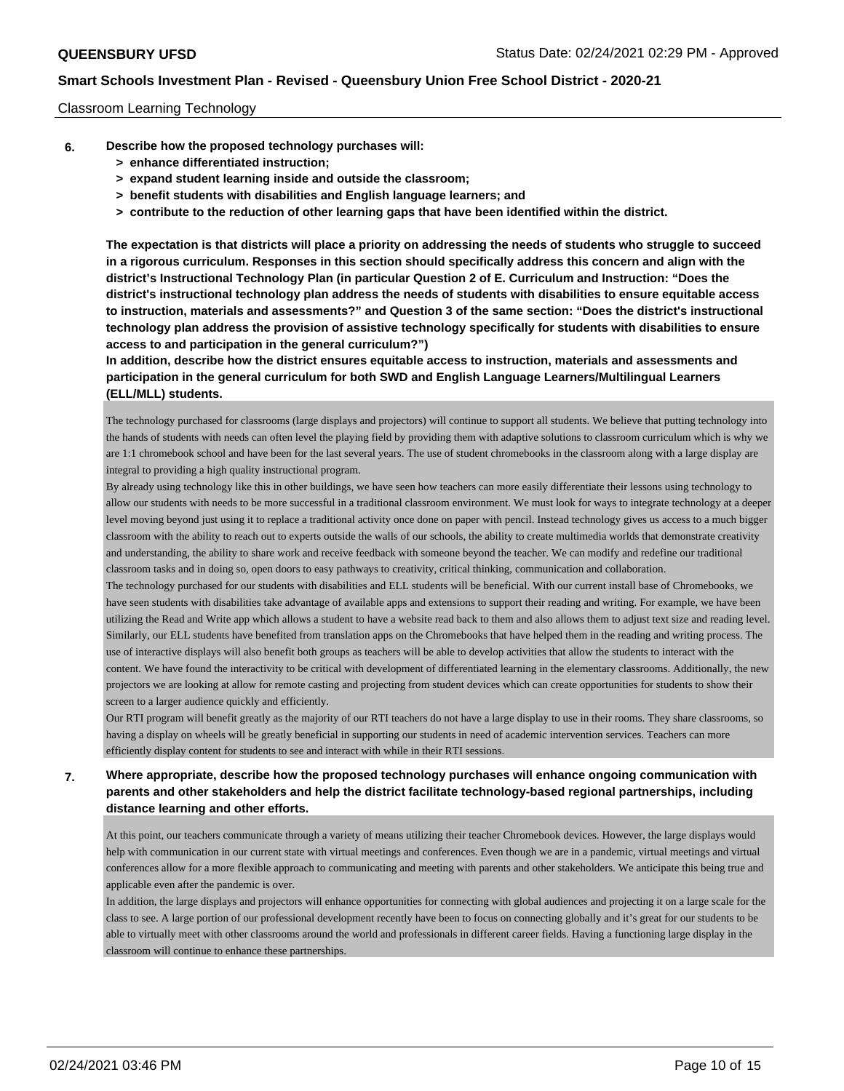## Classroom Learning Technology

- **6. Describe how the proposed technology purchases will:**
	- **> enhance differentiated instruction;**
	- **> expand student learning inside and outside the classroom;**
	- **> benefit students with disabilities and English language learners; and**
	- **> contribute to the reduction of other learning gaps that have been identified within the district.**

**The expectation is that districts will place a priority on addressing the needs of students who struggle to succeed in a rigorous curriculum. Responses in this section should specifically address this concern and align with the district's Instructional Technology Plan (in particular Question 2 of E. Curriculum and Instruction: "Does the district's instructional technology plan address the needs of students with disabilities to ensure equitable access to instruction, materials and assessments?" and Question 3 of the same section: "Does the district's instructional technology plan address the provision of assistive technology specifically for students with disabilities to ensure access to and participation in the general curriculum?")**

**In addition, describe how the district ensures equitable access to instruction, materials and assessments and participation in the general curriculum for both SWD and English Language Learners/Multilingual Learners (ELL/MLL) students.**

The technology purchased for classrooms (large displays and projectors) will continue to support all students. We believe that putting technology into the hands of students with needs can often level the playing field by providing them with adaptive solutions to classroom curriculum which is why we are 1:1 chromebook school and have been for the last several years. The use of student chromebooks in the classroom along with a large display are integral to providing a high quality instructional program.

By already using technology like this in other buildings, we have seen how teachers can more easily differentiate their lessons using technology to allow our students with needs to be more successful in a traditional classroom environment. We must look for ways to integrate technology at a deeper level moving beyond just using it to replace a traditional activity once done on paper with pencil. Instead technology gives us access to a much bigger classroom with the ability to reach out to experts outside the walls of our schools, the ability to create multimedia worlds that demonstrate creativity and understanding, the ability to share work and receive feedback with someone beyond the teacher. We can modify and redefine our traditional classroom tasks and in doing so, open doors to easy pathways to creativity, critical thinking, communication and collaboration.

The technology purchased for our students with disabilities and ELL students will be beneficial. With our current install base of Chromebooks, we have seen students with disabilities take advantage of available apps and extensions to support their reading and writing. For example, we have been utilizing the Read and Write app which allows a student to have a website read back to them and also allows them to adjust text size and reading level. Similarly, our ELL students have benefited from translation apps on the Chromebooks that have helped them in the reading and writing process. The use of interactive displays will also benefit both groups as teachers will be able to develop activities that allow the students to interact with the content. We have found the interactivity to be critical with development of differentiated learning in the elementary classrooms. Additionally, the new projectors we are looking at allow for remote casting and projecting from student devices which can create opportunities for students to show their screen to a larger audience quickly and efficiently.

Our RTI program will benefit greatly as the majority of our RTI teachers do not have a large display to use in their rooms. They share classrooms, so having a display on wheels will be greatly beneficial in supporting our students in need of academic intervention services. Teachers can more efficiently display content for students to see and interact with while in their RTI sessions.

# **7. Where appropriate, describe how the proposed technology purchases will enhance ongoing communication with parents and other stakeholders and help the district facilitate technology-based regional partnerships, including distance learning and other efforts.**

At this point, our teachers communicate through a variety of means utilizing their teacher Chromebook devices. However, the large displays would help with communication in our current state with virtual meetings and conferences. Even though we are in a pandemic, virtual meetings and virtual conferences allow for a more flexible approach to communicating and meeting with parents and other stakeholders. We anticipate this being true and applicable even after the pandemic is over.

In addition, the large displays and projectors will enhance opportunities for connecting with global audiences and projecting it on a large scale for the class to see. A large portion of our professional development recently have been to focus on connecting globally and it's great for our students to be able to virtually meet with other classrooms around the world and professionals in different career fields. Having a functioning large display in the classroom will continue to enhance these partnerships.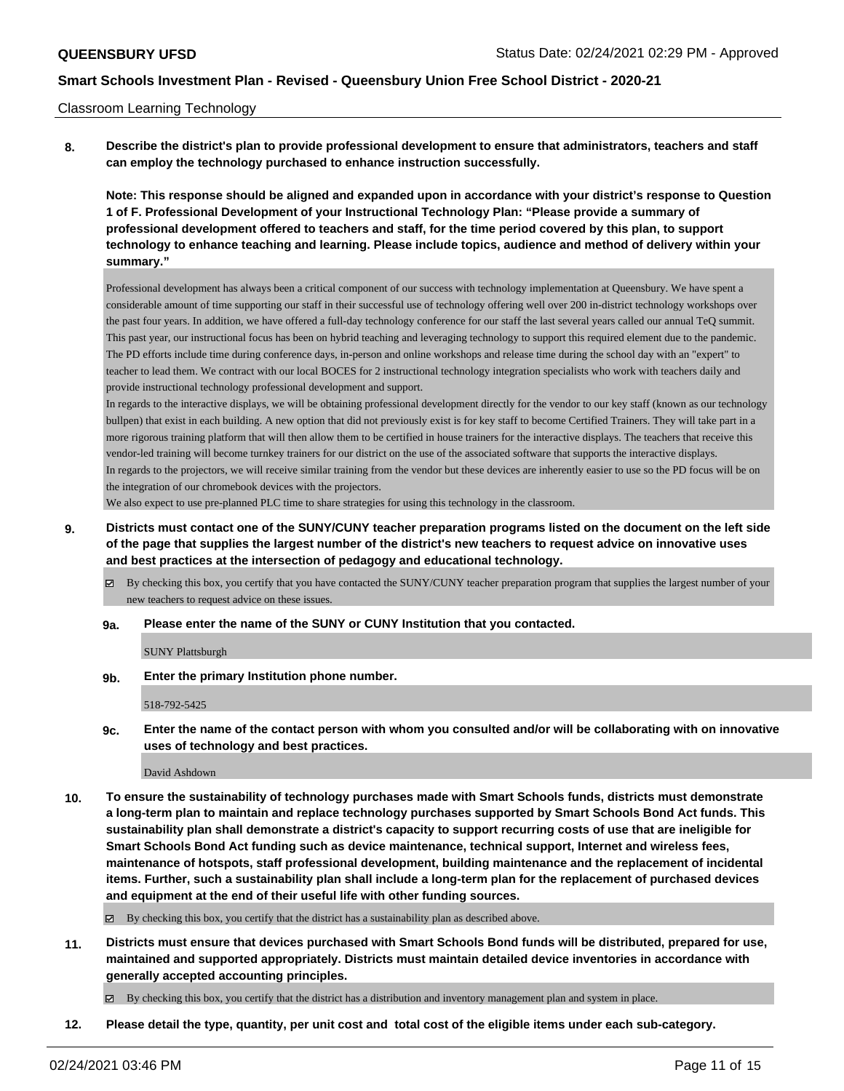#### Classroom Learning Technology

**8. Describe the district's plan to provide professional development to ensure that administrators, teachers and staff can employ the technology purchased to enhance instruction successfully.**

**Note: This response should be aligned and expanded upon in accordance with your district's response to Question 1 of F. Professional Development of your Instructional Technology Plan: "Please provide a summary of professional development offered to teachers and staff, for the time period covered by this plan, to support technology to enhance teaching and learning. Please include topics, audience and method of delivery within your summary."**

Professional development has always been a critical component of our success with technology implementation at Queensbury. We have spent a considerable amount of time supporting our staff in their successful use of technology offering well over 200 in-district technology workshops over the past four years. In addition, we have offered a full-day technology conference for our staff the last several years called our annual TeQ summit. This past year, our instructional focus has been on hybrid teaching and leveraging technology to support this required element due to the pandemic. The PD efforts include time during conference days, in-person and online workshops and release time during the school day with an "expert" to teacher to lead them. We contract with our local BOCES for 2 instructional technology integration specialists who work with teachers daily and provide instructional technology professional development and support.

In regards to the interactive displays, we will be obtaining professional development directly for the vendor to our key staff (known as our technology bullpen) that exist in each building. A new option that did not previously exist is for key staff to become Certified Trainers. They will take part in a more rigorous training platform that will then allow them to be certified in house trainers for the interactive displays. The teachers that receive this vendor-led training will become turnkey trainers for our district on the use of the associated software that supports the interactive displays. In regards to the projectors, we will receive similar training from the vendor but these devices are inherently easier to use so the PD focus will be on the integration of our chromebook devices with the projectors.

We also expect to use pre-planned PLC time to share strategies for using this technology in the classroom.

**9. Districts must contact one of the SUNY/CUNY teacher preparation programs listed on the document on the left side of the page that supplies the largest number of the district's new teachers to request advice on innovative uses and best practices at the intersection of pedagogy and educational technology.**

By checking this box, you certify that you have contacted the SUNY/CUNY teacher preparation program that supplies the largest number of your new teachers to request advice on these issues.

#### **9a. Please enter the name of the SUNY or CUNY Institution that you contacted.**

SUNY Plattsburgh

**9b. Enter the primary Institution phone number.**

518-792-5425

**9c. Enter the name of the contact person with whom you consulted and/or will be collaborating with on innovative uses of technology and best practices.**

David Ashdown

**10. To ensure the sustainability of technology purchases made with Smart Schools funds, districts must demonstrate a long-term plan to maintain and replace technology purchases supported by Smart Schools Bond Act funds. This sustainability plan shall demonstrate a district's capacity to support recurring costs of use that are ineligible for Smart Schools Bond Act funding such as device maintenance, technical support, Internet and wireless fees, maintenance of hotspots, staff professional development, building maintenance and the replacement of incidental items. Further, such a sustainability plan shall include a long-term plan for the replacement of purchased devices and equipment at the end of their useful life with other funding sources.**

 $\boxtimes$  By checking this box, you certify that the district has a sustainability plan as described above.

**11. Districts must ensure that devices purchased with Smart Schools Bond funds will be distributed, prepared for use, maintained and supported appropriately. Districts must maintain detailed device inventories in accordance with generally accepted accounting principles.**

By checking this box, you certify that the district has a distribution and inventory management plan and system in place.

**12. Please detail the type, quantity, per unit cost and total cost of the eligible items under each sub-category.**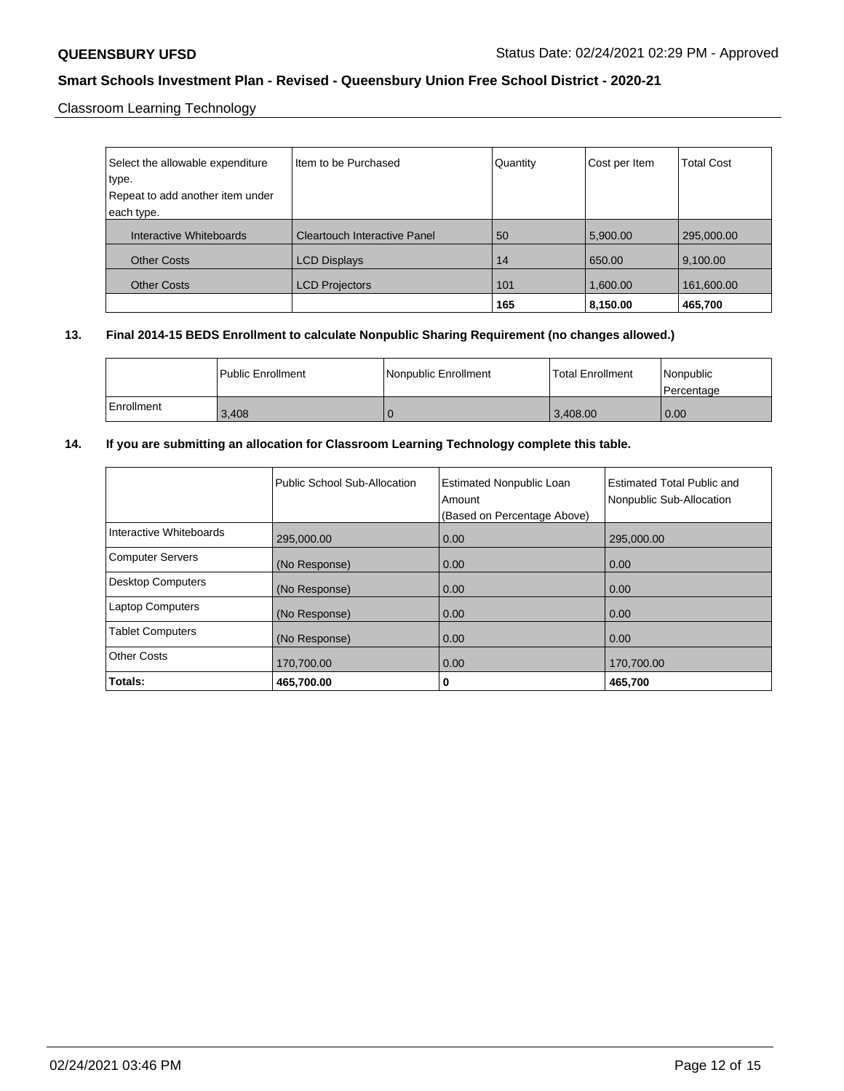Classroom Learning Technology

| Select the allowable expenditure<br>type.<br>Repeat to add another item under<br>each type. | Item to be Purchased                | Quantity | Cost per Item | <b>Total Cost</b> |
|---------------------------------------------------------------------------------------------|-------------------------------------|----------|---------------|-------------------|
| Interactive Whiteboards                                                                     | <b>Cleartouch Interactive Panel</b> | 50       | 5,900.00      | 295,000.00        |
| <b>Other Costs</b>                                                                          | <b>LCD Displays</b>                 | 14       | 650.00        | 9,100.00          |
| <b>Other Costs</b>                                                                          | <b>LCD Projectors</b>               | 101      | 1,600.00      | 161,600.00        |
|                                                                                             |                                     | 165      | 8,150.00      | 465,700           |

# **13. Final 2014-15 BEDS Enrollment to calculate Nonpublic Sharing Requirement (no changes allowed.)**

|            | <b>Public Enrollment</b> | Nonpublic Enrollment | <b>Total Enrollment</b> | Nonpublic<br>l Percentage |
|------------|--------------------------|----------------------|-------------------------|---------------------------|
| Enrollment | 3.408                    |                      | 13.408.00               | 0.00                      |

# **14. If you are submitting an allocation for Classroom Learning Technology complete this table.**

|                          | Public School Sub-Allocation | <b>Estimated Nonpublic Loan</b><br>Amount<br>(Based on Percentage Above) | Estimated Total Public and<br>Nonpublic Sub-Allocation |
|--------------------------|------------------------------|--------------------------------------------------------------------------|--------------------------------------------------------|
| Interactive Whiteboards  | 295,000.00                   | 0.00                                                                     | 295,000.00                                             |
| <b>Computer Servers</b>  | (No Response)                | 0.00                                                                     | 0.00                                                   |
| <b>Desktop Computers</b> | (No Response)                | 0.00                                                                     | 0.00                                                   |
| <b>Laptop Computers</b>  | (No Response)                | 0.00                                                                     | 0.00                                                   |
| <b>Tablet Computers</b>  | (No Response)                | 0.00                                                                     | 0.00                                                   |
| <b>Other Costs</b>       | 170,700.00                   | 0.00                                                                     | 170,700.00                                             |
| Totals:                  | 465,700.00                   | 0                                                                        | 465,700                                                |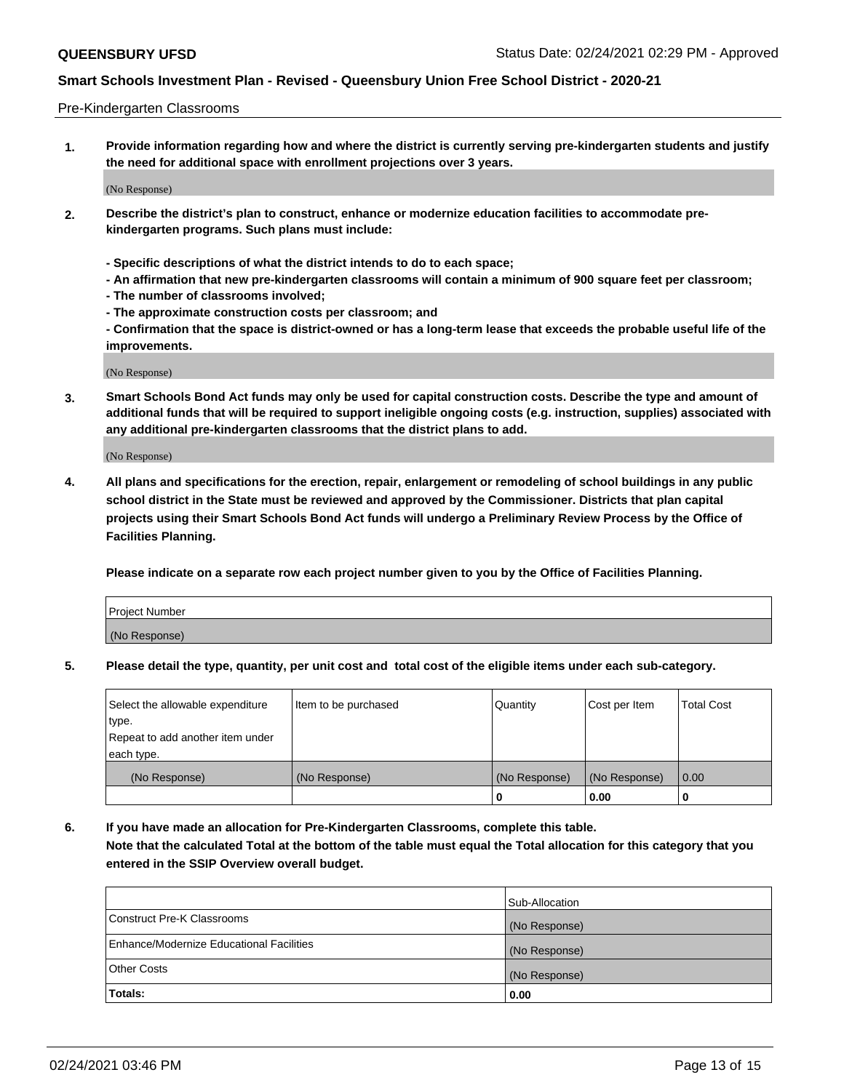### Pre-Kindergarten Classrooms

**1. Provide information regarding how and where the district is currently serving pre-kindergarten students and justify the need for additional space with enrollment projections over 3 years.**

(No Response)

- **2. Describe the district's plan to construct, enhance or modernize education facilities to accommodate prekindergarten programs. Such plans must include:**
	- **Specific descriptions of what the district intends to do to each space;**
	- **An affirmation that new pre-kindergarten classrooms will contain a minimum of 900 square feet per classroom;**
	- **The number of classrooms involved;**
	- **The approximate construction costs per classroom; and**
	- **Confirmation that the space is district-owned or has a long-term lease that exceeds the probable useful life of the improvements.**

(No Response)

**3. Smart Schools Bond Act funds may only be used for capital construction costs. Describe the type and amount of additional funds that will be required to support ineligible ongoing costs (e.g. instruction, supplies) associated with any additional pre-kindergarten classrooms that the district plans to add.**

(No Response)

**4. All plans and specifications for the erection, repair, enlargement or remodeling of school buildings in any public school district in the State must be reviewed and approved by the Commissioner. Districts that plan capital projects using their Smart Schools Bond Act funds will undergo a Preliminary Review Process by the Office of Facilities Planning.**

**Please indicate on a separate row each project number given to you by the Office of Facilities Planning.**

| Project Number |  |
|----------------|--|
| (No Response)  |  |
|                |  |

**5. Please detail the type, quantity, per unit cost and total cost of the eligible items under each sub-category.**

| Select the allowable expenditure | Item to be purchased | Quantity      | Cost per Item | <b>Total Cost</b> |
|----------------------------------|----------------------|---------------|---------------|-------------------|
| type.                            |                      |               |               |                   |
| Repeat to add another item under |                      |               |               |                   |
| each type.                       |                      |               |               |                   |
| (No Response)                    | (No Response)        | (No Response) | (No Response) | 0.00              |
|                                  |                      | U             | 0.00          |                   |

**6. If you have made an allocation for Pre-Kindergarten Classrooms, complete this table. Note that the calculated Total at the bottom of the table must equal the Total allocation for this category that you entered in the SSIP Overview overall budget.**

|                                          | Sub-Allocation |
|------------------------------------------|----------------|
| Construct Pre-K Classrooms               | (No Response)  |
| Enhance/Modernize Educational Facilities | (No Response)  |
| <b>Other Costs</b>                       | (No Response)  |
| Totals:                                  | 0.00           |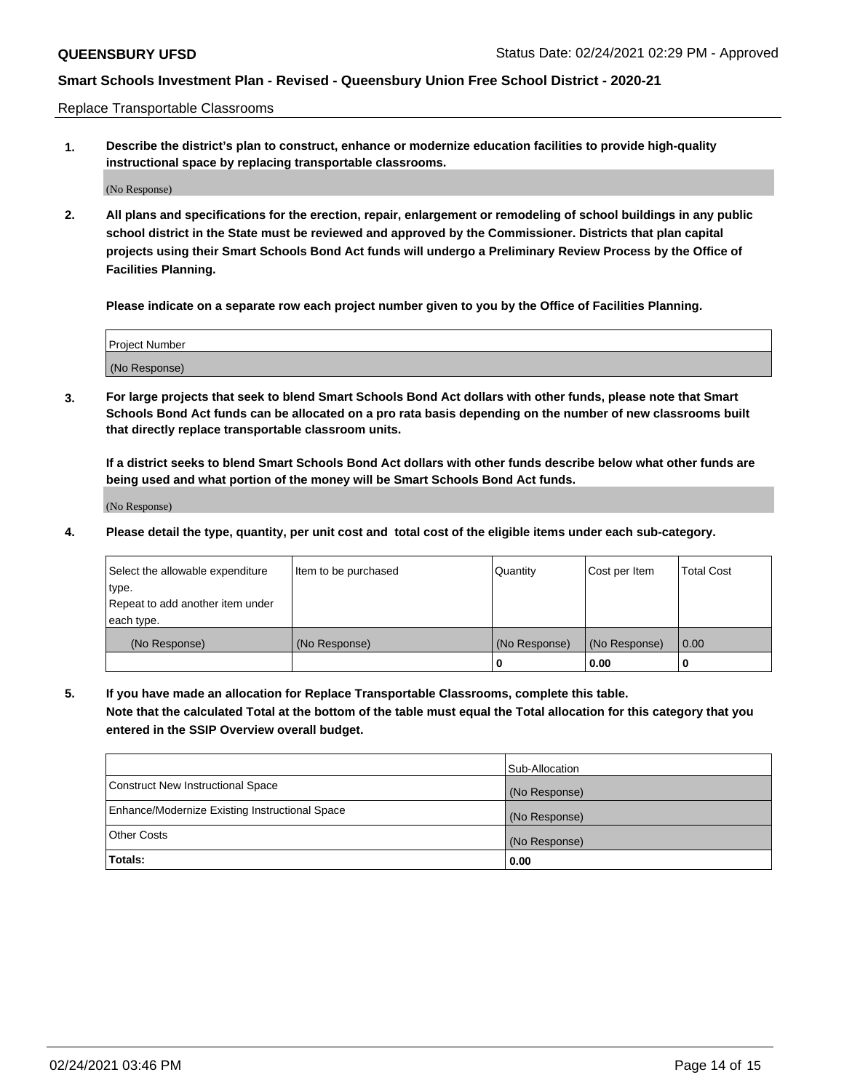Replace Transportable Classrooms

**1. Describe the district's plan to construct, enhance or modernize education facilities to provide high-quality instructional space by replacing transportable classrooms.**

(No Response)

**2. All plans and specifications for the erection, repair, enlargement or remodeling of school buildings in any public school district in the State must be reviewed and approved by the Commissioner. Districts that plan capital projects using their Smart Schools Bond Act funds will undergo a Preliminary Review Process by the Office of Facilities Planning.**

**Please indicate on a separate row each project number given to you by the Office of Facilities Planning.**

| Project Number |  |
|----------------|--|
|                |  |
|                |  |
|                |  |
|                |  |
| (No Response)  |  |
|                |  |
|                |  |
|                |  |

**3. For large projects that seek to blend Smart Schools Bond Act dollars with other funds, please note that Smart Schools Bond Act funds can be allocated on a pro rata basis depending on the number of new classrooms built that directly replace transportable classroom units.**

**If a district seeks to blend Smart Schools Bond Act dollars with other funds describe below what other funds are being used and what portion of the money will be Smart Schools Bond Act funds.**

(No Response)

**4. Please detail the type, quantity, per unit cost and total cost of the eligible items under each sub-category.**

| Select the allowable expenditure | Item to be purchased | Quantity      | Cost per Item | Total Cost |
|----------------------------------|----------------------|---------------|---------------|------------|
| ∣type.                           |                      |               |               |            |
| Repeat to add another item under |                      |               |               |            |
| each type.                       |                      |               |               |            |
| (No Response)                    | (No Response)        | (No Response) | (No Response) | 0.00       |
|                                  |                      | u             | 0.00          |            |

**5. If you have made an allocation for Replace Transportable Classrooms, complete this table. Note that the calculated Total at the bottom of the table must equal the Total allocation for this category that you entered in the SSIP Overview overall budget.**

|                                                | Sub-Allocation |
|------------------------------------------------|----------------|
| Construct New Instructional Space              | (No Response)  |
| Enhance/Modernize Existing Instructional Space | (No Response)  |
| Other Costs                                    | (No Response)  |
| Totals:                                        | 0.00           |